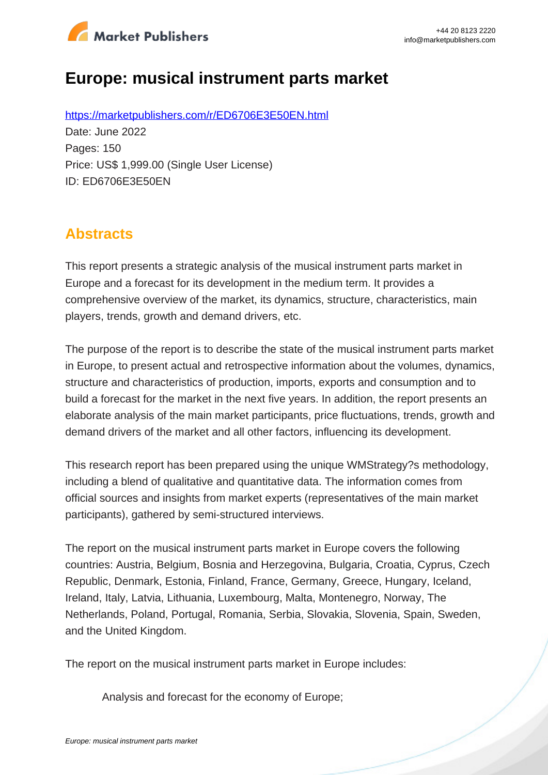

# **Europe: musical instrument parts market**

https://marketpublishers.com/r/ED6706E3E50EN.html Date: June 2022 Pages: 150 Price: US\$ 1,999.00 (Single User License) ID: ED6706E3E50EN

# **Abstracts**

This report presents a strategic analysis of the musical instrument parts market in Europe and a forecast for its development in the medium term. It provides a comprehensive overview of the market, its dynamics, structure, characteristics, main players, trends, growth and demand drivers, etc.

The purpose of the report is to describe the state of the musical instrument parts market in Europe, to present actual and retrospective information about the volumes, dynamics, structure and characteristics of production, imports, exports and consumption and to build a forecast for the market in the next five years. In addition, the report presents an elaborate analysis of the main market participants, price fluctuations, trends, growth and demand drivers of the market and all other factors, influencing its development.

This research report has been prepared using the unique WMStrategy?s methodology, including a blend of qualitative and quantitative data. The information comes from official sources and insights from market experts (representatives of the main market participants), gathered by semi-structured interviews.

The report on the musical instrument parts market in Europe covers the following countries: Austria, Belgium, Bosnia and Herzegovina, Bulgaria, Croatia, Cyprus, Czech Republic, Denmark, Estonia, Finland, France, Germany, Greece, Hungary, Iceland, Ireland, Italy, Latvia, Lithuania, Luxembourg, Malta, Montenegro, Norway, The Netherlands, Poland, Portugal, Romania, Serbia, Slovakia, Slovenia, Spain, Sweden, and the United Kingdom.

The report on the musical instrument parts market in Europe includes:

Analysis and forecast for the economy of Europe;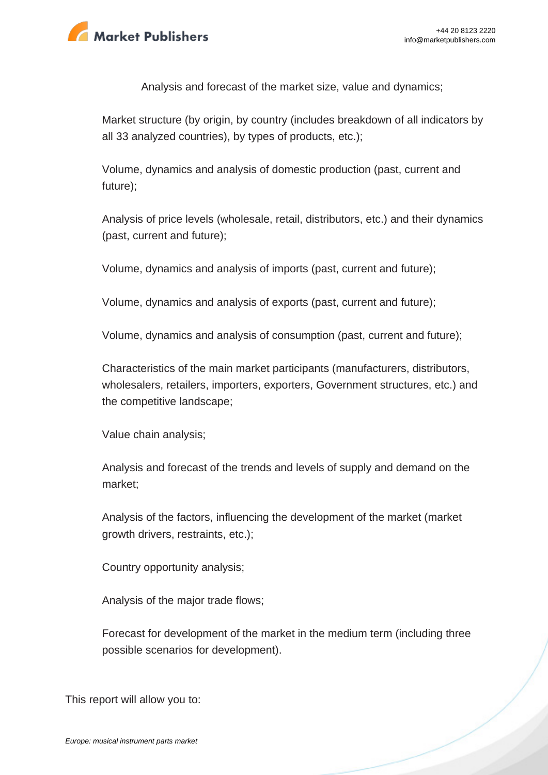

Analysis and forecast of the market size, value and dynamics;

Market structure (by origin, by country (includes breakdown of all indicators by all 33 analyzed countries), by types of products, etc.);

Volume, dynamics and analysis of domestic production (past, current and future);

Analysis of price levels (wholesale, retail, distributors, etc.) and their dynamics (past, current and future);

Volume, dynamics and analysis of imports (past, current and future);

Volume, dynamics and analysis of exports (past, current and future);

Volume, dynamics and analysis of consumption (past, current and future);

Characteristics of the main market participants (manufacturers, distributors, wholesalers, retailers, importers, exporters, Government structures, etc.) and the competitive landscape;

Value chain analysis;

Analysis and forecast of the trends and levels of supply and demand on the market;

Analysis of the factors, influencing the development of the market (market growth drivers, restraints, etc.);

Country opportunity analysis;

Analysis of the major trade flows;

Forecast for development of the market in the medium term (including three possible scenarios for development).

This report will allow you to: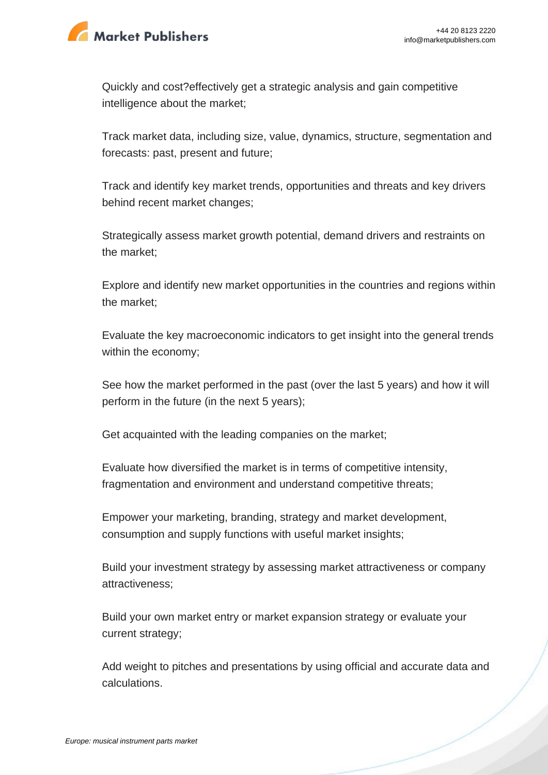

Quickly and cost?effectively get a strategic analysis and gain competitive intelligence about the market;

Track market data, including size, value, dynamics, structure, segmentation and forecasts: past, present and future;

Track and identify key market trends, opportunities and threats and key drivers behind recent market changes;

Strategically assess market growth potential, demand drivers and restraints on the market;

Explore and identify new market opportunities in the countries and regions within the market;

Evaluate the key macroeconomic indicators to get insight into the general trends within the economy;

See how the market performed in the past (over the last 5 years) and how it will perform in the future (in the next 5 years);

Get acquainted with the leading companies on the market;

Evaluate how diversified the market is in terms of competitive intensity, fragmentation and environment and understand competitive threats;

Empower your marketing, branding, strategy and market development, consumption and supply functions with useful market insights;

Build your investment strategy by assessing market attractiveness or company attractiveness;

Build your own market entry or market expansion strategy or evaluate your current strategy;

Add weight to pitches and presentations by using official and accurate data and calculations.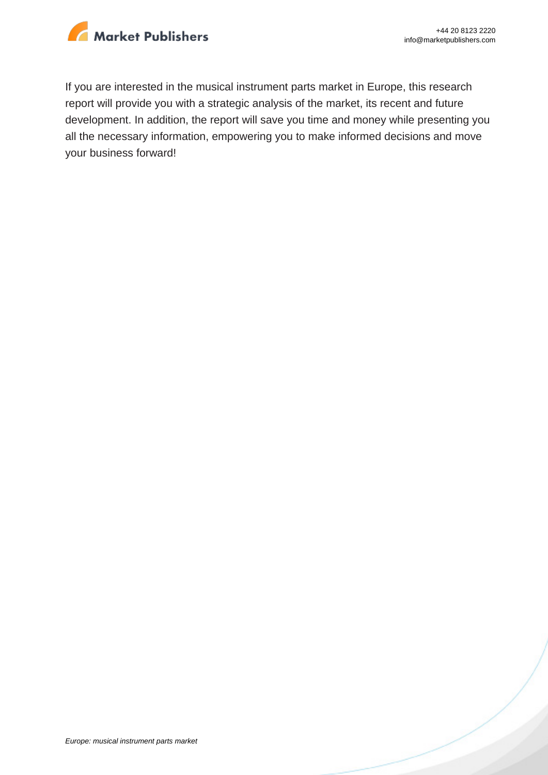

If you are interested in the musical instrument parts market in Europe, this research report will provide you with a strategic analysis of the market, its recent and future development. In addition, the report will save you time and money while presenting you all the necessary information, empowering you to make informed decisions and move your business forward!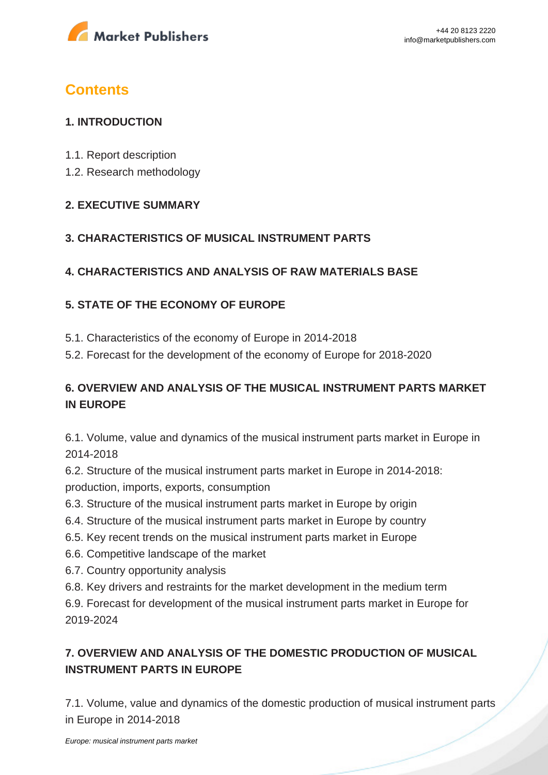

# **Contents**

### **1. INTRODUCTION**

- 1.1. Report description
- 1.2. Research methodology

### **2. EXECUTIVE SUMMARY**

### **3. CHARACTERISTICS OF MUSICAL INSTRUMENT PARTS**

### **4. CHARACTERISTICS AND ANALYSIS OF RAW MATERIALS BASE**

### **5. STATE OF THE ECONOMY OF EUROPE**

- 5.1. Characteristics of the economy of Europe in 2014-2018
- 5.2. Forecast for the development of the economy of Europe for 2018-2020

### **6. OVERVIEW AND ANALYSIS OF THE MUSICAL INSTRUMENT PARTS MARKET IN EUROPE**

6.1. Volume, value and dynamics of the musical instrument parts market in Europe in 2014-2018

6.2. Structure of the musical instrument parts market in Europe in 2014-2018: production, imports, exports, consumption

- 6.3. Structure of the musical instrument parts market in Europe by origin
- 6.4. Structure of the musical instrument parts market in Europe by country
- 6.5. Key recent trends on the musical instrument parts market in Europe
- 6.6. Competitive landscape of the market
- 6.7. Country opportunity analysis
- 6.8. Key drivers and restraints for the market development in the medium term

6.9. Forecast for development of the musical instrument parts market in Europe for 2019-2024

# **7. OVERVIEW AND ANALYSIS OF THE DOMESTIC PRODUCTION OF MUSICAL INSTRUMENT PARTS IN EUROPE**

7.1. Volume, value and dynamics of the domestic production of musical instrument parts in Europe in 2014-2018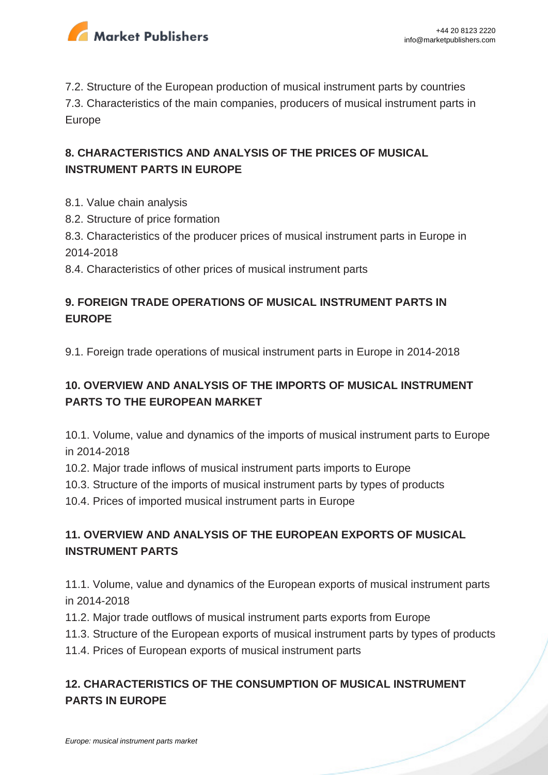

7.2. Structure of the European production of musical instrument parts by countries 7.3. Characteristics of the main companies, producers of musical instrument parts in Europe

## **8. CHARACTERISTICS AND ANALYSIS OF THE PRICES OF MUSICAL INSTRUMENT PARTS IN EUROPE**

- 8.1. Value chain analysis
- 8.2. Structure of price formation
- 8.3. Characteristics of the producer prices of musical instrument parts in Europe in 2014-2018
- 8.4. Characteristics of other prices of musical instrument parts

## **9. FOREIGN TRADE OPERATIONS OF MUSICAL INSTRUMENT PARTS IN EUROPE**

9.1. Foreign trade operations of musical instrument parts in Europe in 2014-2018

# **10. OVERVIEW AND ANALYSIS OF THE IMPORTS OF MUSICAL INSTRUMENT PARTS TO THE EUROPEAN MARKET**

10.1. Volume, value and dynamics of the imports of musical instrument parts to Europe in 2014-2018

- 10.2. Major trade inflows of musical instrument parts imports to Europe
- 10.3. Structure of the imports of musical instrument parts by types of products
- 10.4. Prices of imported musical instrument parts in Europe

# **11. OVERVIEW AND ANALYSIS OF THE EUROPEAN EXPORTS OF MUSICAL INSTRUMENT PARTS**

11.1. Volume, value and dynamics of the European exports of musical instrument parts in 2014-2018

- 11.2. Major trade outflows of musical instrument parts exports from Europe
- 11.3. Structure of the European exports of musical instrument parts by types of products
- 11.4. Prices of European exports of musical instrument parts

## **12. CHARACTERISTICS OF THE CONSUMPTION OF MUSICAL INSTRUMENT PARTS IN EUROPE**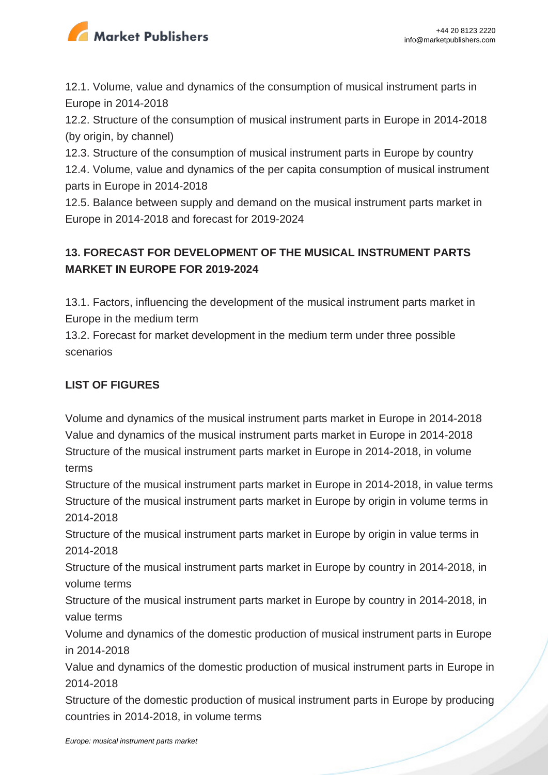

12.1. Volume, value and dynamics of the consumption of musical instrument parts in Europe in 2014-2018

12.2. Structure of the consumption of musical instrument parts in Europe in 2014-2018 (by origin, by channel)

12.3. Structure of the consumption of musical instrument parts in Europe by country 12.4. Volume, value and dynamics of the per capita consumption of musical instrument parts in Europe in 2014-2018

12.5. Balance between supply and demand on the musical instrument parts market in Europe in 2014-2018 and forecast for 2019-2024

# **13. FORECAST FOR DEVELOPMENT OF THE MUSICAL INSTRUMENT PARTS MARKET IN EUROPE FOR 2019-2024**

13.1. Factors, influencing the development of the musical instrument parts market in Europe in the medium term

13.2. Forecast for market development in the medium term under three possible scenarios

# **LIST OF FIGURES**

Volume and dynamics of the musical instrument parts market in Europe in 2014-2018 Value and dynamics of the musical instrument parts market in Europe in 2014-2018 Structure of the musical instrument parts market in Europe in 2014-2018, in volume terms

Structure of the musical instrument parts market in Europe in 2014-2018, in value terms Structure of the musical instrument parts market in Europe by origin in volume terms in 2014-2018

Structure of the musical instrument parts market in Europe by origin in value terms in 2014-2018

Structure of the musical instrument parts market in Europe by country in 2014-2018, in volume terms

Structure of the musical instrument parts market in Europe by country in 2014-2018, in value terms

Volume and dynamics of the domestic production of musical instrument parts in Europe in 2014-2018

Value and dynamics of the domestic production of musical instrument parts in Europe in 2014-2018

Structure of the domestic production of musical instrument parts in Europe by producing countries in 2014-2018, in volume terms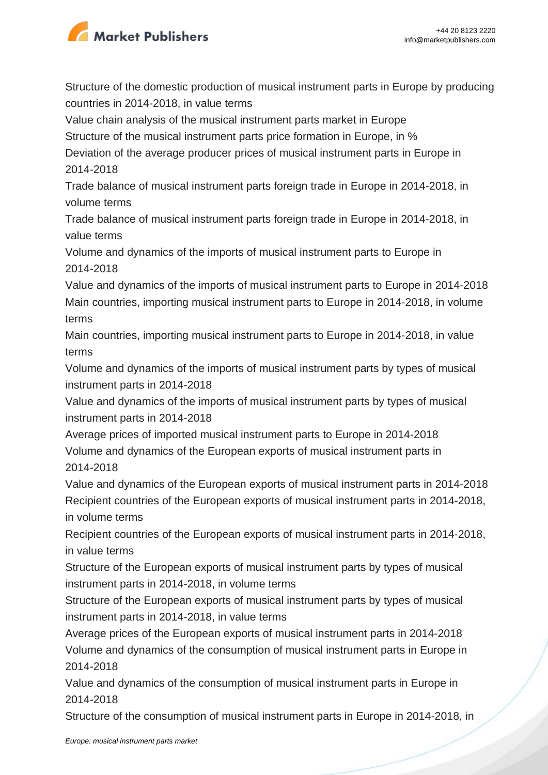

Structure of the domestic production of musical instrument parts in Europe by producing countries in 2014-2018, in value terms

Value chain analysis of the musical instrument parts market in Europe

Structure of the musical instrument parts price formation in Europe, in %

Deviation of the average producer prices of musical instrument parts in Europe in 2014-2018

Trade balance of musical instrument parts foreign trade in Europe in 2014-2018, in volume terms

Trade balance of musical instrument parts foreign trade in Europe in 2014-2018, in value terms

Volume and dynamics of the imports of musical instrument parts to Europe in 2014-2018

Value and dynamics of the imports of musical instrument parts to Europe in 2014-2018 Main countries, importing musical instrument parts to Europe in 2014-2018, in volume terms

Main countries, importing musical instrument parts to Europe in 2014-2018, in value terms

Volume and dynamics of the imports of musical instrument parts by types of musical instrument parts in 2014-2018

Value and dynamics of the imports of musical instrument parts by types of musical instrument parts in 2014-2018

Average prices of imported musical instrument parts to Europe in 2014-2018 Volume and dynamics of the European exports of musical instrument parts in 2014-2018

Value and dynamics of the European exports of musical instrument parts in 2014-2018 Recipient countries of the European exports of musical instrument parts in 2014-2018, in volume terms

Recipient countries of the European exports of musical instrument parts in 2014-2018, in value terms

Structure of the European exports of musical instrument parts by types of musical instrument parts in 2014-2018, in volume terms

Structure of the European exports of musical instrument parts by types of musical instrument parts in 2014-2018, in value terms

Average prices of the European exports of musical instrument parts in 2014-2018 Volume and dynamics of the consumption of musical instrument parts in Europe in 2014-2018

Value and dynamics of the consumption of musical instrument parts in Europe in 2014-2018

Structure of the consumption of musical instrument parts in Europe in 2014-2018, in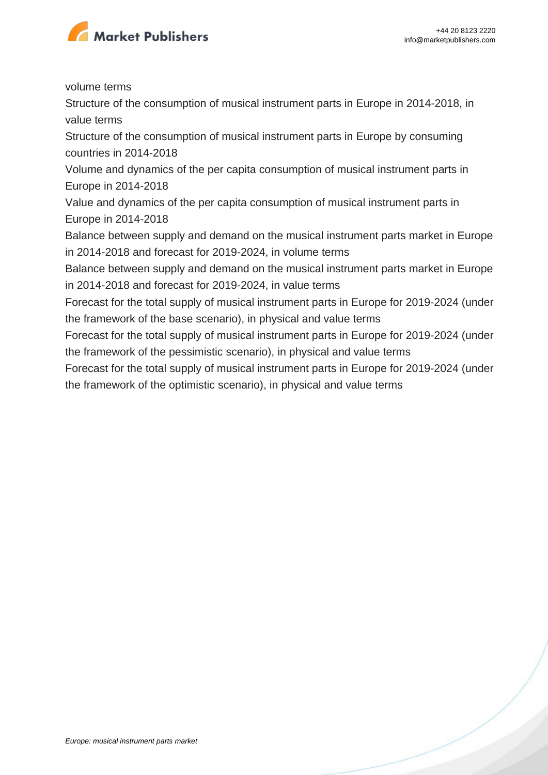

volume terms

Structure of the consumption of musical instrument parts in Europe in 2014-2018, in value terms

Structure of the consumption of musical instrument parts in Europe by consuming countries in 2014-2018

Volume and dynamics of the per capita consumption of musical instrument parts in Europe in 2014-2018

Value and dynamics of the per capita consumption of musical instrument parts in Europe in 2014-2018

Balance between supply and demand on the musical instrument parts market in Europe in 2014-2018 and forecast for 2019-2024, in volume terms

Balance between supply and demand on the musical instrument parts market in Europe in 2014-2018 and forecast for 2019-2024, in value terms

Forecast for the total supply of musical instrument parts in Europe for 2019-2024 (under the framework of the base scenario), in physical and value terms

Forecast for the total supply of musical instrument parts in Europe for 2019-2024 (under the framework of the pessimistic scenario), in physical and value terms

Forecast for the total supply of musical instrument parts in Europe for 2019-2024 (under the framework of the optimistic scenario), in physical and value terms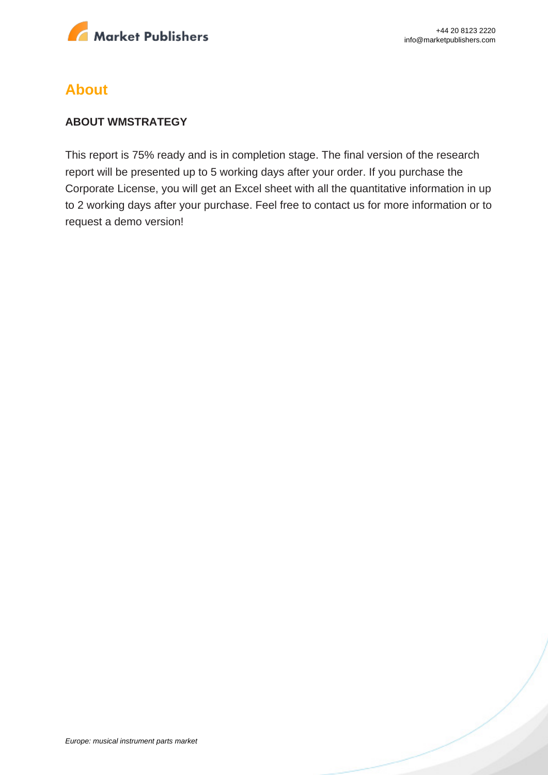

# **About**

### **ABOUT WMSTRATEGY**

This report is 75% ready and is in completion stage. The final version of the research report will be presented up to 5 working days after your order. If you purchase the Corporate License, you will get an Excel sheet with all the quantitative information in up to 2 working days after your purchase. Feel free to contact us for more information or to request a demo version!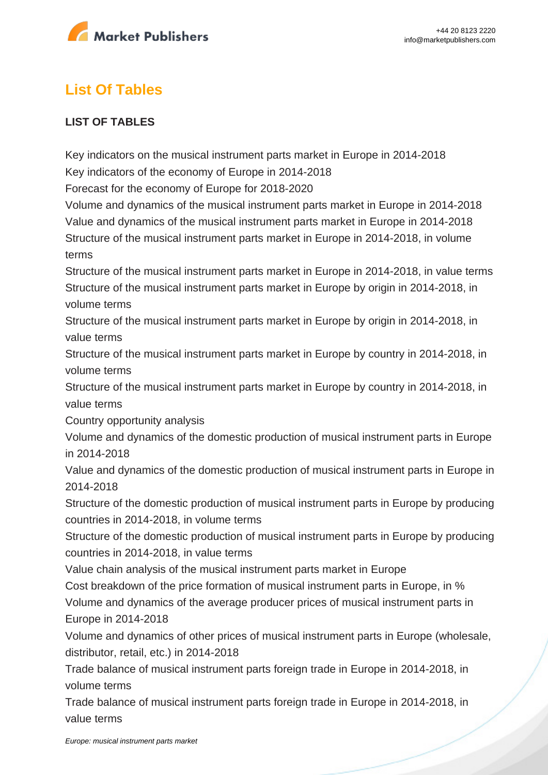

# **List Of Tables**

### **LIST OF TABLES**

Key indicators on the musical instrument parts market in Europe in 2014-2018 Key indicators of the economy of Europe in 2014-2018

Forecast for the economy of Europe for 2018-2020

Volume and dynamics of the musical instrument parts market in Europe in 2014-2018 Value and dynamics of the musical instrument parts market in Europe in 2014-2018 Structure of the musical instrument parts market in Europe in 2014-2018, in volume terms

Structure of the musical instrument parts market in Europe in 2014-2018, in value terms Structure of the musical instrument parts market in Europe by origin in 2014-2018, in volume terms

Structure of the musical instrument parts market in Europe by origin in 2014-2018, in value terms

Structure of the musical instrument parts market in Europe by country in 2014-2018, in volume terms

Structure of the musical instrument parts market in Europe by country in 2014-2018, in value terms

Country opportunity analysis

Volume and dynamics of the domestic production of musical instrument parts in Europe in 2014-2018

Value and dynamics of the domestic production of musical instrument parts in Europe in 2014-2018

Structure of the domestic production of musical instrument parts in Europe by producing countries in 2014-2018, in volume terms

Structure of the domestic production of musical instrument parts in Europe by producing countries in 2014-2018, in value terms

Value chain analysis of the musical instrument parts market in Europe

Cost breakdown of the price formation of musical instrument parts in Europe, in % Volume and dynamics of the average producer prices of musical instrument parts in Europe in 2014-2018

Volume and dynamics of other prices of musical instrument parts in Europe (wholesale, distributor, retail, etc.) in 2014-2018

Trade balance of musical instrument parts foreign trade in Europe in 2014-2018, in volume terms

Trade balance of musical instrument parts foreign trade in Europe in 2014-2018, in value terms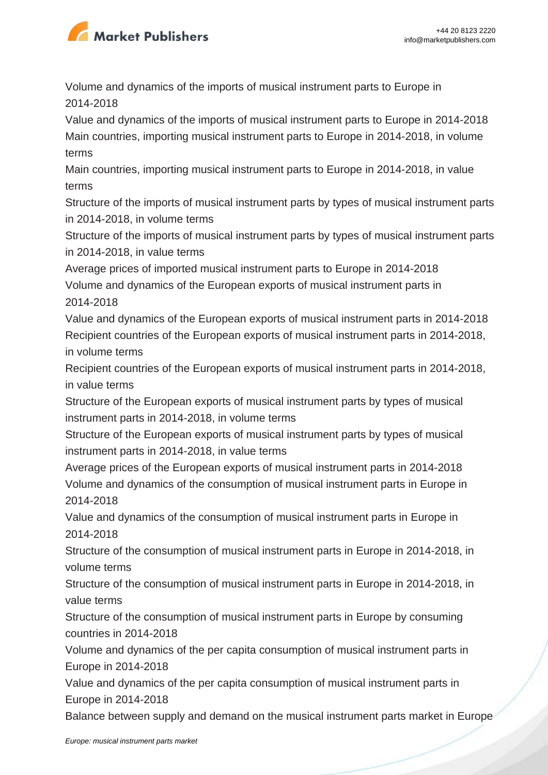

Volume and dynamics of the imports of musical instrument parts to Europe in 2014-2018

Value and dynamics of the imports of musical instrument parts to Europe in 2014-2018 Main countries, importing musical instrument parts to Europe in 2014-2018, in volume terms

Main countries, importing musical instrument parts to Europe in 2014-2018, in value terms

Structure of the imports of musical instrument parts by types of musical instrument parts in 2014-2018, in volume terms

Structure of the imports of musical instrument parts by types of musical instrument parts in 2014-2018, in value terms

Average prices of imported musical instrument parts to Europe in 2014-2018 Volume and dynamics of the European exports of musical instrument parts in 2014-2018

Value and dynamics of the European exports of musical instrument parts in 2014-2018 Recipient countries of the European exports of musical instrument parts in 2014-2018, in volume terms

Recipient countries of the European exports of musical instrument parts in 2014-2018, in value terms

Structure of the European exports of musical instrument parts by types of musical instrument parts in 2014-2018, in volume terms

Structure of the European exports of musical instrument parts by types of musical instrument parts in 2014-2018, in value terms

Average prices of the European exports of musical instrument parts in 2014-2018 Volume and dynamics of the consumption of musical instrument parts in Europe in 2014-2018

Value and dynamics of the consumption of musical instrument parts in Europe in 2014-2018

Structure of the consumption of musical instrument parts in Europe in 2014-2018, in volume terms

Structure of the consumption of musical instrument parts in Europe in 2014-2018, in value terms

Structure of the consumption of musical instrument parts in Europe by consuming countries in 2014-2018

Volume and dynamics of the per capita consumption of musical instrument parts in Europe in 2014-2018

Value and dynamics of the per capita consumption of musical instrument parts in Europe in 2014-2018

Balance between supply and demand on the musical instrument parts market in Europe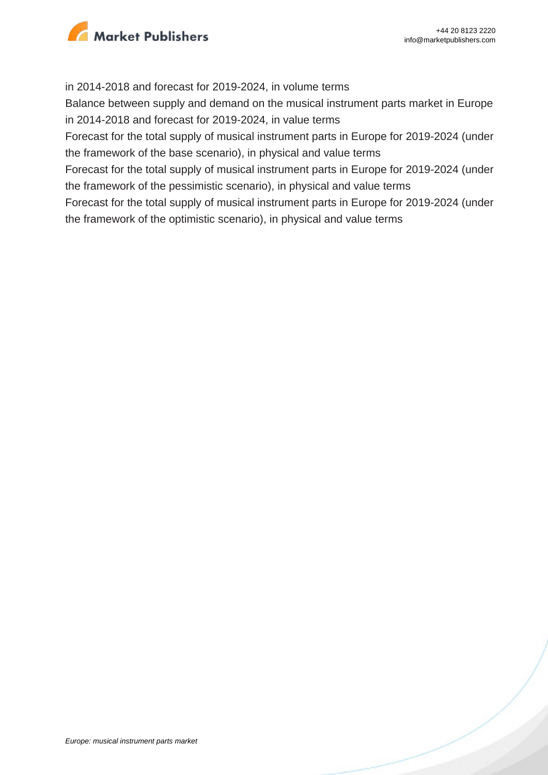

#### in 2014-2018 and forecast for 2019-2024, in volume terms

Balance between supply and demand on the musical instrument parts market in Europe in 2014-2018 and forecast for 2019-2024, in value terms

Forecast for the total supply of musical instrument parts in Europe for 2019-2024 (under the framework of the base scenario), in physical and value terms

Forecast for the total supply of musical instrument parts in Europe for 2019-2024 (under the framework of the pessimistic scenario), in physical and value terms

Forecast for the total supply of musical instrument parts in Europe for 2019-2024 (under the framework of the optimistic scenario), in physical and value terms